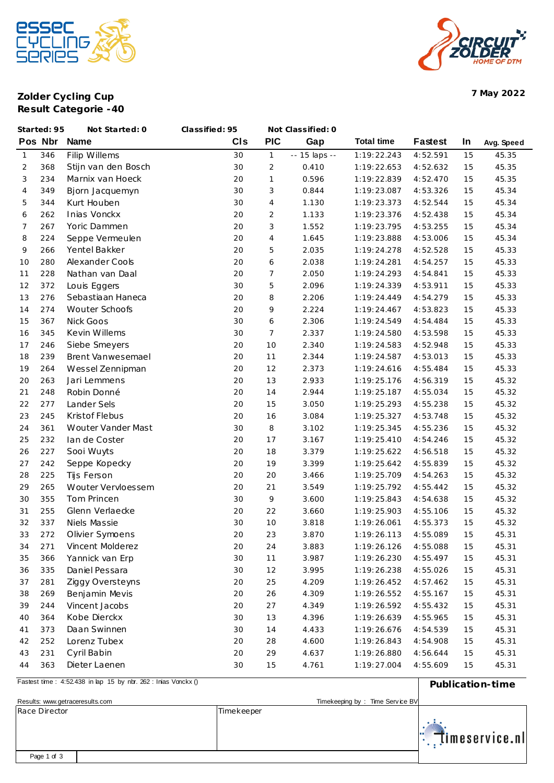



**Zolder Cycling Cup 7 May 2022 Result Categorie -40**

|                | Started: 95 | Not Started: 0      | Classified: 95 |                | Not Classified: 0 |                   |                |    |            |
|----------------|-------------|---------------------|----------------|----------------|-------------------|-------------------|----------------|----|------------|
|                | Pos Nbr     | <b>Name</b>         | CIS            | <b>PIC</b>     | Gap               | <b>Total time</b> | <b>Fastest</b> | In | Avg. Speed |
| $\mathbf{1}$   | 346         | Filip Willems       | 30             | $\mathbf{1}$   | -- 15 laps --     | 1:19:22.243       | 4:52.591       | 15 | 45.35      |
| 2              | 368         | Stijn van den Bosch | 30             | $\overline{2}$ | 0.410             | 1:19:22.653       | 4:52.632       | 15 | 45.35      |
| 3              | 234         | Marnix van Hoeck    | 20             | $\mathbf{1}$   | 0.596             | 1:19:22.839       | 4:52.470       | 15 | 45.35      |
| $\overline{4}$ | 349         | Bjorn Jacquemyn     | 30             | 3              | 0.844             | 1:19:23.087       | 4:53.326       | 15 | 45.34      |
| 5              | 344         | Kurt Houben         | 30             | $\overline{4}$ | 1.130             | 1:19:23.373       | 4:52.544       | 15 | 45.34      |
| 6              | 262         | Inias Vonckx        | 20             | 2              | 1.133             | 1:19:23.376       | 4:52.438       | 15 | 45.34      |
| 7              | 267         | Yoric Dammen        | 20             | 3              | 1.552             | 1:19:23.795       | 4:53.255       | 15 | 45.34      |
| 8              | 224         | Seppe Vermeulen     | 20             | 4              | 1.645             | 1:19:23.888       | 4:53.006       | 15 | 45.34      |
| 9              | 266         | Yentel Bakker       | 20             | 5              | 2.035             | 1:19:24.278       | 4:52.528       | 15 | 45.33      |
| 10             | 280         | Alexander Cools     | 20             | 6              | 2.038             | 1:19:24.281       | 4:54.257       | 15 | 45.33      |
| 11             | 228         | Nathan van Daal     | 20             | $\overline{7}$ | 2.050             | 1:19:24.293       | 4:54.841       | 15 | 45.33      |
| 12             | 372         | Louis Eggers        | 30             | 5              | 2.096             | 1:19:24.339       | 4:53.911       | 15 | 45.33      |
| 13             | 276         | Sebastiaan Haneca   | 20             | 8              | 2.206             | 1:19:24.449       | 4:54.279       | 15 | 45.33      |
| 14             | 274         | Wouter Schoofs      | 20             | 9              | 2.224             | 1:19:24.467       | 4:53.823       | 15 | 45.33      |
| 15             | 367         | Nick Goos           | 30             | 6              | 2.306             | 1:19:24.549       | 4:54.484       | 15 | 45.33      |
| 16             | 345         | Kevin Willems       | 30             | 7              | 2.337             | 1:19:24.580       | 4:53.598       | 15 | 45.33      |
| 17             | 246         | Siebe Smeyers       | 20             | 10             | 2.340             | 1:19:24.583       | 4:52.948       | 15 | 45.33      |
| 18             | 239         | Brent Vanwesemael   | 20             | 11             | 2.344             | 1:19:24.587       | 4:53.013       | 15 | 45.33      |
| 19             | 264         | Wessel Zennipman    | 20             | 12             | 2.373             | 1:19:24.616       | 4:55.484       | 15 | 45.33      |
| 20             | 263         | Jari Lemmens        | 20             | 13             | 2.933             | 1:19:25.176       | 4:56.319       | 15 | 45.32      |
| 21             | 248         | Robin Donné         | 20             | 14             | 2.944             | 1:19:25.187       | 4:55.034       | 15 | 45.32      |
| 22             | 277         | Lander Sels         | 20             | 15             | 3.050             | 1:19:25.293       | 4:55.238       | 15 | 45.32      |
| 23             | 245         | Kristof Flebus      | 20             | 16             | 3.084             | 1:19:25.327       | 4:53.748       | 15 | 45.32      |
| 24             | 361         | Wouter Vander Mast  | 30             | 8              | 3.102             | 1:19:25.345       | 4:55.236       | 15 | 45.32      |
| 25             | 232         | lan de Coster       | 20             | 17             | 3.167             | 1:19:25.410       | 4:54.246       | 15 | 45.32      |
| 26             | 227         | Sooi Wuyts          | 20             | 18             | 3.379             | 1:19:25.622       | 4:56.518       | 15 | 45.32      |
| 27             | 242         | Seppe Kopecky       | 20             | 19             | 3.399             | 1:19:25.642       | 4:55.839       | 15 | 45.32      |
| 28             | 225         | Tijs Ferson         | 20             | 20             | 3.466             | 1:19:25.709       | 4:54.263       | 15 | 45.32      |
| 29             | 265         | Wouter Vervloessem  | 20             | 21             | 3.549             | 1:19:25.792       | 4:55.442       | 15 | 45.32      |
| 30             | 355         | <b>Tom Princen</b>  | 30             | 9              | 3.600             | 1:19:25.843       | 4:54.638       | 15 | 45.32      |
| 31             | 255         | Glenn Verlaecke     | 20             | 22             | 3.660             | 1:19:25.903       | 4:55.106       | 15 | 45.32      |
| 32             | 337         | Niels Massie        | 30             | 10             | 3.818             | 1:19:26.061       | 4:55.373       | 15 | 45.32      |
| 33             | 272         | Olivier Symoens     | 20             | 23             | 3.870             | 1:19:26.113       | 4:55.089       | 15 | 45.31      |
| 34             | 271         | Vincent Molderez    | 20             | 24             | 3.883             | 1:19:26.126       | 4:55.088       | 15 | 45.31      |
| 35             | 366         | Yannick van Erp     | 30             | $11$           | 3.987             | 1:19:26.230       | 4:55.497       | 15 | 45.31      |
| 36             | 335         | Daniel Pessara      | 30             | 12             | 3.995             | 1:19:26.238       | 4:55.026       | 15 | 45.31      |
| 37             | 281         | Ziggy Oversteyns    | 20             | 25             | 4.209             | 1:19:26.452       | 4:57.462       | 15 | 45.31      |
| 38             | 269         | Benjamin Mevis      | 20             | 26             | 4.309             | 1:19:26.552       | 4:55.167       | 15 | 45.31      |
| 39             | 244         | Vincent Jacobs      | 20             | 27             | 4.349             | 1:19:26.592       | 4:55.432       | 15 | 45.31      |
| 40             | 364         | Kobe Dierckx        | 30             | 13             | 4.396             | 1:19:26.639       | 4:55.965       | 15 | 45.31      |
| 41             | 373         | Daan Swinnen        | 30             | 14             | 4.433             | 1:19:26.676       | 4:54.539       | 15 | 45.31      |
| 42             | 252         | Lorenz Tubex        | 20             | 28             | 4.600             | 1:19:26.843       | 4:54.908       | 15 | 45.31      |
| 43             | 231         | Cyril Babin         | 20             | 29             | 4.637             | 1:19:26.880       | 4:56.644       | 15 | 45.31      |
| 44             | 363         | Dieter Laenen       | 30             | 15             | 4.761             | 1:19:27.004       | 4:55.609       | 15 | 45.31      |
|                |             |                     |                |                |                   |                   |                |    |            |

**Pastest time : 4:52438 in lap 15 by nbr. 262 : Inias Vonckx ()** Publication-time Results: <www.getraceresults.com> **Nickel and Timekeeping by : Time Service BV** Time Service BV Race Director Timekeeper  $\ddot{\ddot{\cdot}}$  ,  $\ddot{\ddot{\cdot}}$  imeservice.nl Page 1 of 3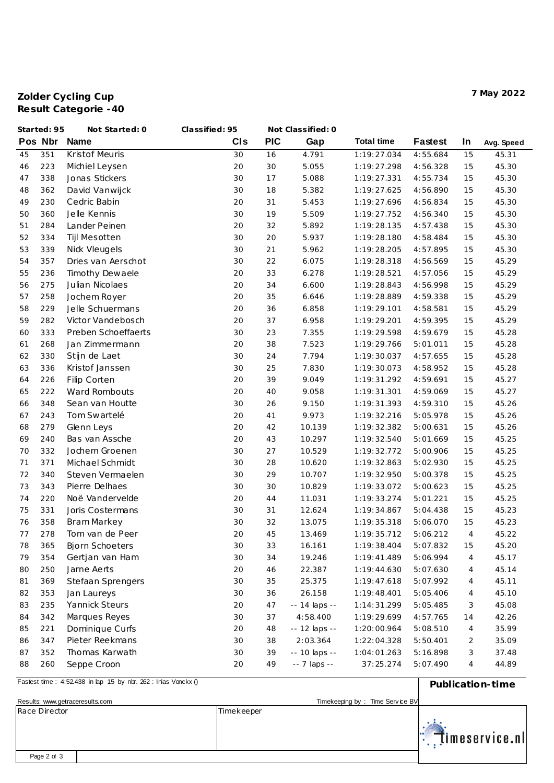## **Zolder Cycling Cup 7 May 2022 Result Categorie -40**

|    | Started: 95 | Not Started: 0         | Classified: 95 |            | Not Classified: 0 |                   |                |                |            |
|----|-------------|------------------------|----------------|------------|-------------------|-------------------|----------------|----------------|------------|
|    | Pos Nbr     | <b>Name</b>            | CIS            | <b>PIC</b> | Gap               | <b>Total time</b> | <b>Fastest</b> | In             | Avg. Speed |
| 45 | 351         | Kristof Meuris         | 30             | 16         | 4.791             | 1:19:27.034       | 4:55.684       | 15             | 45.31      |
| 46 | 223         | Michiel Leysen         | 20             | 30         | 5.055             | 1:19:27.298       | 4:56.328       | 15             | 45.30      |
| 47 | 338         | Jonas Stickers         | 30             | 17         | 5.088             | 1:19:27.331       | 4:55.734       | 15             | 45.30      |
| 48 | 362         | David Vanwijck         | 30             | 18         | 5.382             | 1:19:27.625       | 4:56.890       | 15             | 45.30      |
| 49 | 230         | Cedric Babin           | 20             | 31         | 5.453             | 1:19:27.696       | 4:56.834       | 15             | 45.30      |
| 50 | 360         | Jelle Kennis           | 30             | 19         | 5.509             | 1:19:27.752       | 4:56.340       | 15             | 45.30      |
| 51 | 284         | Lander Peinen          | 20             | 32         | 5.892             | 1:19:28.135       | 4:57.438       | 15             | 45.30      |
| 52 | 334         | Tijl Mesotten          | 30             | 20         | 5.937             | 1:19:28.180       | 4:58.484       | 15             | 45.30      |
| 53 | 339         | Nick Vleugels          | 30             | 21         | 5.962             | 1:19:28.205       | 4:57.895       | 15             | 45.30      |
| 54 | 357         | Dries van Aerschot     | 30             | 22         | 6.075             | 1:19:28.318       | 4:56.569       | 15             | 45.29      |
| 55 | 236         | Timothy Dewaele        | 20             | 33         | 6.278             | 1:19:28.521       | 4:57.056       | 15             | 45.29      |
| 56 | 275         | Julian Nicolaes        | 20             | 34         | 6.600             | 1:19:28.843       | 4:56.998       | 15             | 45.29      |
| 57 | 258         | Jochem Royer           | 20             | 35         | 6.646             | 1:19:28.889       | 4:59.338       | 15             | 45.29      |
| 58 | 229         | Jelle Schuermans       | 20             | 36         | 6.858             | 1:19:29.101       | 4:58.581       | 15             | 45.29      |
| 59 | 282         | Victor Vandebosch      | 20             | 37         | 6.958             | 1:19:29.201       | 4:59.395       | 15             | 45.29      |
| 60 | 333         | Preben Schoeffaerts    | 30             | 23         | 7.355             | 1:19:29.598       | 4:59.679       | 15             | 45.28      |
| 61 | 268         | Jan Zimmermann         | 20             | 38         | 7.523             | 1:19:29.766       | 5:01.011       | 15             | 45.28      |
| 62 | 330         | Stijn de Laet          | 30             | 24         | 7.794             | 1:19:30.037       | 4:57.655       | 15             | 45.28      |
| 63 | 336         | Kristof Janssen        | 30             | 25         | 7.830             | 1:19:30.073       | 4:58.952       | 15             | 45.28      |
| 64 | 226         | Filip Corten           | 20             | 39         | 9.049             | 1:19:31.292       | 4:59.691       | 15             | 45.27      |
| 65 | 222         | Ward Rombouts          | 20             | 40         | 9.058             | 1:19:31.301       | 4:59.069       | 15             | 45.27      |
| 66 | 348         | Sean van Houtte        | 30             | 26         | 9.150             | 1:19:31.393       | 4:59.310       | 15             | 45.26      |
| 67 | 243         | Tom Swartelé           | 20             | 41         | 9.973             | 1:19:32.216       | 5:05.978       | 15             | 45.26      |
| 68 | 279         | Glenn Leys             | 20             | 42         | 10.139            | 1:19:32.382       | 5:00.631       | 15             | 45.26      |
| 69 | 240         | Bas van Assche         | 20             | 43         | 10.297            | 1:19:32.540       | 5:01.669       | 15             | 45.25      |
| 70 | 332         | Jochem Groenen         | 30             | 27         | 10.529            | 1:19:32.772       | 5:00.906       | 15             | 45.25      |
| 71 | 371         | Michael Schmidt        | 30             | 28         | 10.620            | 1:19:32.863       | 5:02.930       | 15             | 45.25      |
| 72 | 340         | Steven Vermaelen       | 30             | 29         | 10.707            | 1:19:32.950       | 5:00.378       | 15             | 45.25      |
| 73 | 343         | Pierre Delhaes         | 30             | 30         | 10.829            | 1:19:33.072       | 5:00.623       | 15             | 45.25      |
| 74 | 220         | Noë Vandervelde        | 20             | 44         | 11.031            | 1:19:33.274       | 5:01.221       | 15             | 45.25      |
| 75 | 331         | Joris Costermans       | 30             | 31         | 12.624            | 1:19:34.867       | 5:04.438       | 15             | 45.23      |
| 76 | 358         | <b>Bram Markey</b>     | 30             | 32         | 13.075            | 1:19:35.318       | 5:06.070       | 15             | 45.23      |
| 77 | 278         | Tom van de Peer        | 20             | 45         | 13.469            | 1:19:35.712       | 5:06.212       | 4              | 45.22      |
| 78 | 365         | <b>Bjorn Schoeters</b> | 30             | 33         | 16.161            | 1:19:38.404       | 5:07.832       | 15             | 45.20      |
| 79 | 354         | Gertjan van Ham        | 30             | 34         | 19.246            | 1:19:41.489       | 5:06.994       | $\overline{4}$ | 45.17      |
| 80 | 250         | Jarne Aerts            | 20             | 46         | 22.387            | 1:19:44.630       | 5:07.630       | 4              | 45.14      |
| 81 | 369         | Stefaan Sprengers      | 30             | 35         | 25.375            | 1:19:47.618       | 5:07.992       | 4              | 45.11      |
| 82 | 353         | Jan Laureys            | 30             | 36         | 26.158            | 1:19:48.401       | 5:05.406       | 4              | 45.10      |
| 83 | 235         | Yannick Steurs         | 20             | 47         | -- 14 laps --     | 1:14:31.299       | 5:05.485       | 3              | 45.08      |
| 84 | 342         | Marques Reyes          | 30             | 37         | 4:58.400          | 1:19:29.699       | 4:57.765       | 14             | 42.26      |
| 85 | 221         | Dominique Curfs        | 20             | 48         | -- 12 laps --     | 1:20:00.964       | 5:08.510       | 4              | 35.99      |
| 86 | 347         | Pieter Reekmans        | 30             | 38         | 2:03.364          | 1:22:04.328       | 5:50.401       | 2              | 35.09      |
| 87 | 352         | Thomas Karwath         | 30             | 39         | -- 10 laps --     | 1:04:01.263       | 5:16.898       | 3              | 37.48      |
| 88 | 260         | Seppe Croon            | 20             | 49         | -- 7 laps --      | 37:25.274         | 5:07.490       | 4              | 44.89      |

**Pastest time** : 4:52.438 in lap 15 by nbr. 262 : Inias Vonckx ()

| FASTEST LIMITE: 4:52.456 IN REP 15 DY NOT 202: IN RES VONCKX () |                                 | Publication-time            |
|-----------------------------------------------------------------|---------------------------------|-----------------------------|
| Results: www.getraceresults.com                                 | Timekeeping by: Time Service BV |                             |
| Race Director                                                   | Timekeeper                      | $\mathbb{R}$ Timeservice.nl |
| Page 2 of 3                                                     |                                 |                             |